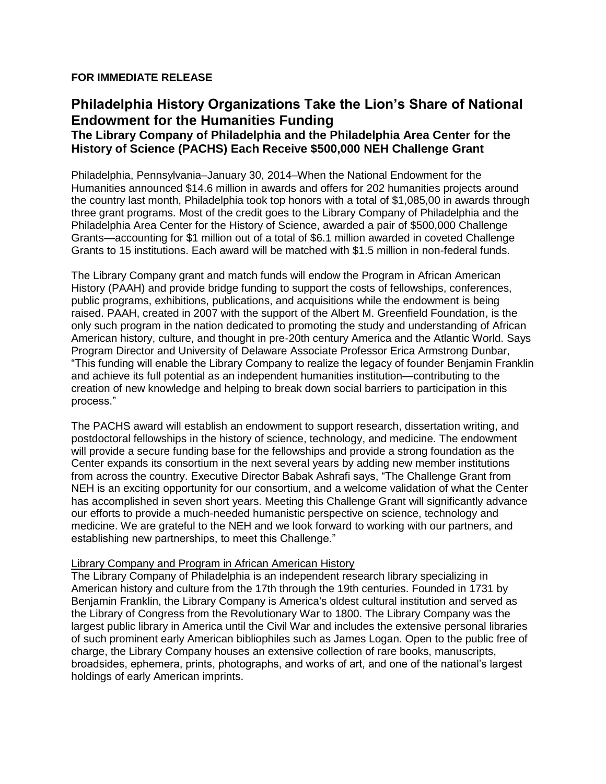## **FOR IMMEDIATE RELEASE**

# **Philadelphia History Organizations Take the Lion's Share of National Endowment for the Humanities Funding**

# **The Library Company of Philadelphia and the Philadelphia Area Center for the History of Science (PACHS) Each Receive \$500,000 NEH Challenge Grant**

Philadelphia, Pennsylvania–January 30, 2014–When the National Endowment for the Humanities announced \$14.6 million in awards and offers for 202 humanities projects around the country last month, Philadelphia took top honors with a total of \$1,085,00 in awards through three grant programs. Most of the credit goes to the Library Company of Philadelphia and the Philadelphia Area Center for the History of Science, awarded a pair of \$500,000 Challenge Grants—accounting for \$1 million out of a total of \$6.1 million awarded in coveted Challenge Grants to 15 institutions. Each award will be matched with \$1.5 million in non-federal funds.

The Library Company grant and match funds will endow the Program in African American History (PAAH) and provide bridge funding to support the costs of fellowships, conferences, public programs, exhibitions, publications, and acquisitions while the endowment is being raised. PAAH, created in 2007 with the support of the Albert M. Greenfield Foundation, is the only such program in the nation dedicated to promoting the study and understanding of African American history, culture, and thought in pre-20th century America and the Atlantic World. Says Program Director and University of Delaware Associate Professor Erica Armstrong Dunbar, "This funding will enable the Library Company to realize the legacy of founder Benjamin Franklin and achieve its full potential as an independent humanities institution—contributing to the creation of new knowledge and helping to break down social barriers to participation in this process."

The PACHS award will establish an endowment to support research, dissertation writing, and postdoctoral fellowships in the history of science, technology, and medicine. The endowment will provide a secure funding base for the fellowships and provide a strong foundation as the Center expands its consortium in the next several years by adding new member institutions from across the country. Executive Director Babak Ashrafi says, "The Challenge Grant from NEH is an exciting opportunity for our consortium, and a welcome validation of what the Center has accomplished in seven short years. Meeting this Challenge Grant will significantly advance our efforts to provide a much-needed humanistic perspective on science, technology and medicine. We are grateful to the NEH and we look forward to working with our partners, and establishing new partnerships, to meet this Challenge."

#### Library Company and Program in African American History

The Library Company of Philadelphia is an independent research library specializing in American history and culture from the 17th through the 19th centuries. Founded in 1731 by Benjamin Franklin, the Library Company is America's oldest cultural institution and served as the Library of Congress from the Revolutionary War to 1800. The Library Company was the largest public library in America until the Civil War and includes the extensive personal libraries of such prominent early American bibliophiles such as James Logan. Open to the public free of charge, the Library Company houses an extensive collection of rare books, manuscripts, broadsides, ephemera, prints, photographs, and works of art, and one of the national's largest holdings of early American imprints.